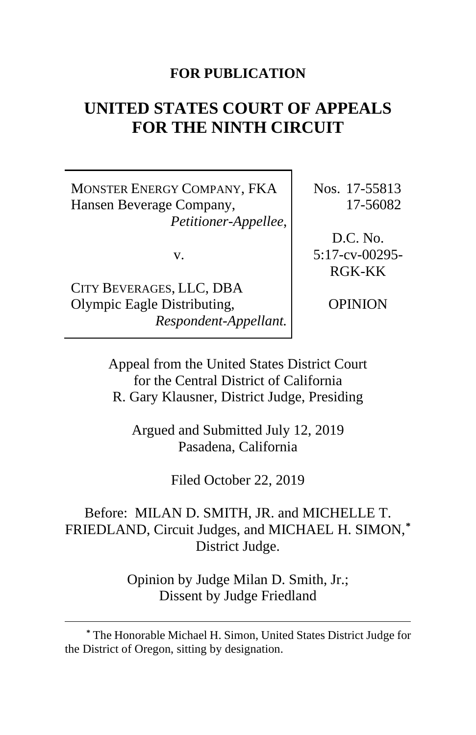## **FOR PUBLICATION**

# **UNITED STATES COURT OF APPEALS FOR THE NINTH CIRCUIT**

MONSTER ENERGY COMPANY, FKA Hansen Beverage Company, *Petitioner-Appellee*,

v.

CITY BEVERAGES, LLC, DBA Olympic Eagle Distributing, *Respondent-Appellant.* Nos. 17-55813 17-56082

D.C. No. 5:17-cv-00295- RGK-KK

OPINION

Appeal from the United States District Court for the Central District of California R. Gary Klausner, District Judge, Presiding

Argued and Submitted July 12, 2019 Pasadena, California

Filed October 22, 2019

Before: MILAN D. SMITH, JR. and MICHELLE T. FRIEDLAND, Circuit Judges, and MICHAEL H. SIMON,**[\\*](#page-0-0)** District Judge.

> Opinion by Judge Milan D. Smith, Jr.; Dissent by Judge Friedland

<span id="page-0-0"></span>**<sup>\*</sup>** The Honorable Michael H. Simon, United States District Judge for the District of Oregon, sitting by designation.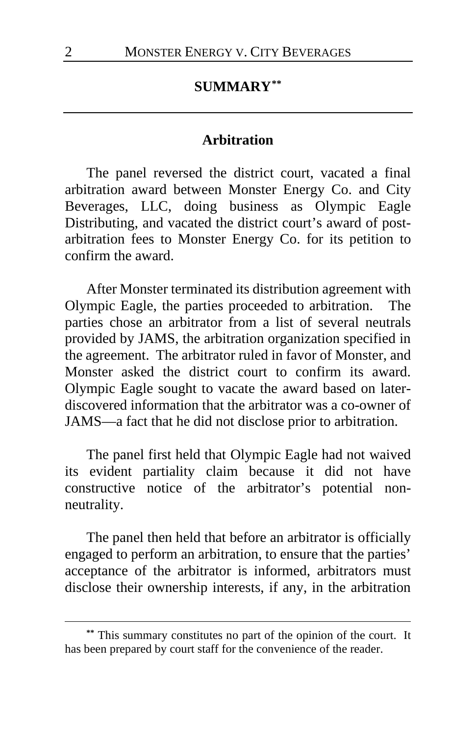#### **SUMMARY[\\*\\*](#page-1-0)**

#### **Arbitration**

The panel reversed the district court, vacated a final arbitration award between Monster Energy Co. and City Beverages, LLC, doing business as Olympic Eagle Distributing, and vacated the district court's award of postarbitration fees to Monster Energy Co. for its petition to confirm the award.

After Monster terminated its distribution agreement with Olympic Eagle, the parties proceeded to arbitration. The parties chose an arbitrator from a list of several neutrals provided by JAMS, the arbitration organization specified in the agreement. The arbitrator ruled in favor of Monster, and Monster asked the district court to confirm its award. Olympic Eagle sought to vacate the award based on laterdiscovered information that the arbitrator was a co-owner of JAMS—a fact that he did not disclose prior to arbitration.

The panel first held that Olympic Eagle had not waived its evident partiality claim because it did not have constructive notice of the arbitrator's potential nonneutrality.

The panel then held that before an arbitrator is officially engaged to perform an arbitration, to ensure that the parties' acceptance of the arbitrator is informed, arbitrators must disclose their ownership interests, if any, in the arbitration

<span id="page-1-0"></span>**<sup>\*\*</sup>** This summary constitutes no part of the opinion of the court. It has been prepared by court staff for the convenience of the reader.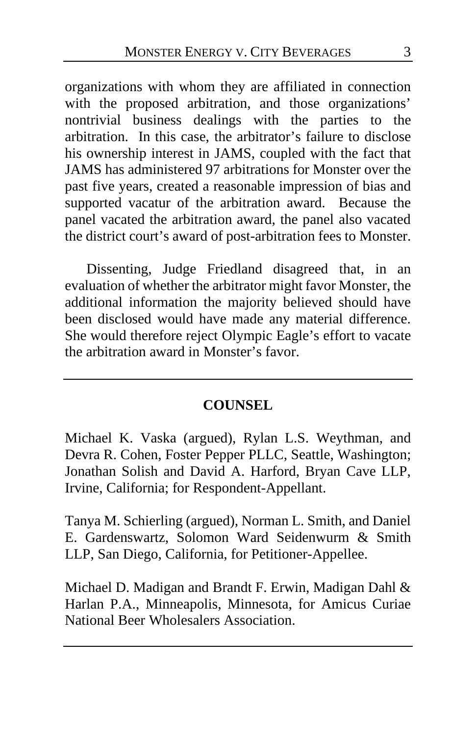organizations with whom they are affiliated in connection with the proposed arbitration, and those organizations' nontrivial business dealings with the parties to the arbitration. In this case, the arbitrator's failure to disclose his ownership interest in JAMS, coupled with the fact that JAMS has administered 97 arbitrations for Monster over the past five years, created a reasonable impression of bias and supported vacatur of the arbitration award. Because the panel vacated the arbitration award, the panel also vacated the district court's award of post-arbitration fees to Monster.

Dissenting, Judge Friedland disagreed that, in an evaluation of whether the arbitrator might favor Monster, the additional information the majority believed should have been disclosed would have made any material difference. She would therefore reject Olympic Eagle's effort to vacate the arbitration award in Monster's favor.

### **COUNSEL**

Michael K. Vaska (argued), Rylan L.S. Weythman, and Devra R. Cohen, Foster Pepper PLLC, Seattle, Washington; Jonathan Solish and David A. Harford, Bryan Cave LLP, Irvine, California; for Respondent-Appellant.

Tanya M. Schierling (argued), Norman L. Smith, and Daniel E. Gardenswartz, Solomon Ward Seidenwurm & Smith LLP, San Diego, California, for Petitioner-Appellee.

Michael D. Madigan and Brandt F. Erwin, Madigan Dahl & Harlan P.A., Minneapolis, Minnesota, for Amicus Curiae National Beer Wholesalers Association.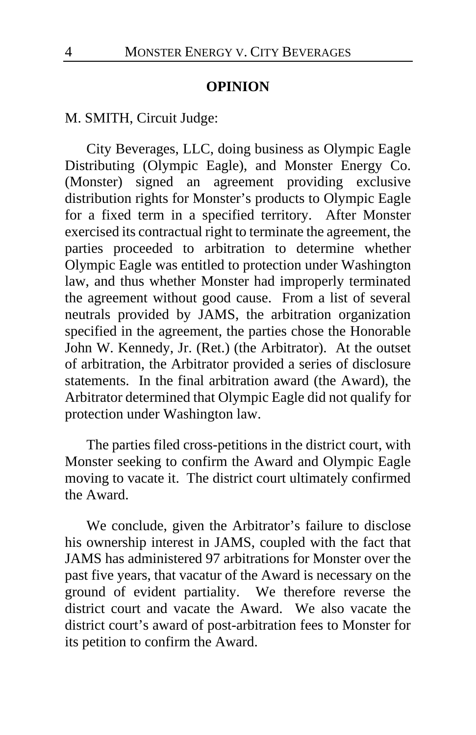#### **OPINION**

M. SMITH, Circuit Judge:

City Beverages, LLC, doing business as Olympic Eagle Distributing (Olympic Eagle), and Monster Energy Co. (Monster) signed an agreement providing exclusive distribution rights for Monster's products to Olympic Eagle for a fixed term in a specified territory. After Monster exercised its contractual right to terminate the agreement, the parties proceeded to arbitration to determine whether Olympic Eagle was entitled to protection under Washington law, and thus whether Monster had improperly terminated the agreement without good cause. From a list of several neutrals provided by JAMS, the arbitration organization specified in the agreement, the parties chose the Honorable John W. Kennedy, Jr. (Ret.) (the Arbitrator). At the outset of arbitration, the Arbitrator provided a series of disclosure statements. In the final arbitration award (the Award), the Arbitrator determined that Olympic Eagle did not qualify for protection under Washington law.

The parties filed cross-petitions in the district court, with Monster seeking to confirm the Award and Olympic Eagle moving to vacate it. The district court ultimately confirmed the Award.

We conclude, given the Arbitrator's failure to disclose his ownership interest in JAMS, coupled with the fact that JAMS has administered 97 arbitrations for Monster over the past five years, that vacatur of the Award is necessary on the ground of evident partiality. We therefore reverse the district court and vacate the Award. We also vacate the district court's award of post-arbitration fees to Monster for its petition to confirm the Award.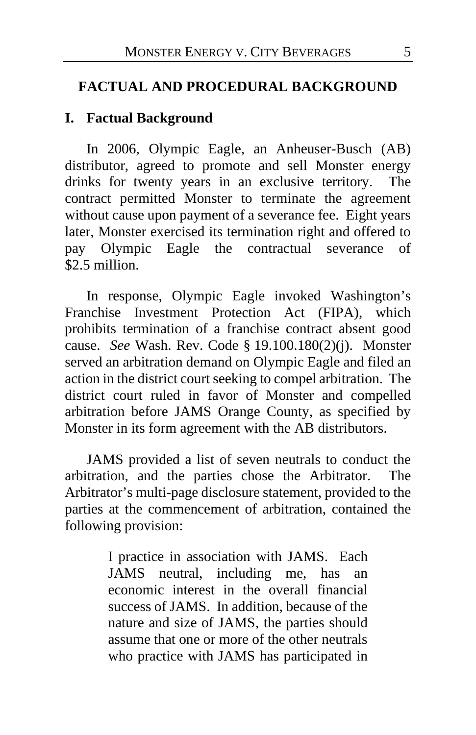#### **FACTUAL AND PROCEDURAL BACKGROUND**

#### **I. Factual Background**

In 2006, Olympic Eagle, an Anheuser-Busch (AB) distributor, agreed to promote and sell Monster energy drinks for twenty years in an exclusive territory. The contract permitted Monster to terminate the agreement without cause upon payment of a severance fee. Eight years later, Monster exercised its termination right and offered to pay Olympic Eagle the contractual severance of \$2.5 million.

In response, Olympic Eagle invoked Washington's Franchise Investment Protection Act (FIPA), which prohibits termination of a franchise contract absent good cause. *See* Wash. Rev. Code § 19.100.180(2)(j). Monster served an arbitration demand on Olympic Eagle and filed an action in the district court seeking to compel arbitration. The district court ruled in favor of Monster and compelled arbitration before JAMS Orange County, as specified by Monster in its form agreement with the AB distributors.

JAMS provided a list of seven neutrals to conduct the arbitration, and the parties chose the Arbitrator. The Arbitrator's multi-page disclosure statement, provided to the parties at the commencement of arbitration, contained the following provision:

> I practice in association with JAMS. Each JAMS neutral, including me, has an economic interest in the overall financial success of JAMS. In addition, because of the nature and size of JAMS, the parties should assume that one or more of the other neutrals who practice with JAMS has participated in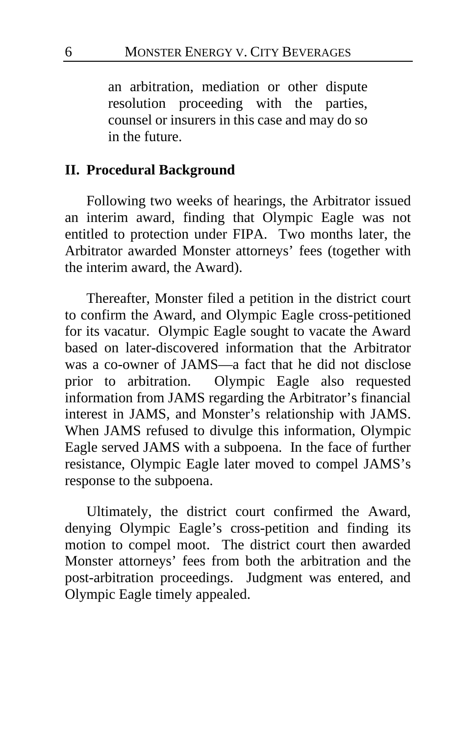an arbitration, mediation or other dispute resolution proceeding with the parties, counsel or insurers in this case and may do so in the future.

#### **II. Procedural Background**

Following two weeks of hearings, the Arbitrator issued an interim award, finding that Olympic Eagle was not entitled to protection under FIPA. Two months later, the Arbitrator awarded Monster attorneys' fees (together with the interim award, the Award).

Thereafter, Monster filed a petition in the district court to confirm the Award, and Olympic Eagle cross-petitioned for its vacatur. Olympic Eagle sought to vacate the Award based on later-discovered information that the Arbitrator was a co-owner of JAMS—a fact that he did not disclose prior to arbitration. Olympic Eagle also requested information from JAMS regarding the Arbitrator's financial interest in JAMS, and Monster's relationship with JAMS. When JAMS refused to divulge this information, Olympic Eagle served JAMS with a subpoena. In the face of further resistance, Olympic Eagle later moved to compel JAMS's response to the subpoena.

Ultimately, the district court confirmed the Award, denying Olympic Eagle's cross-petition and finding its motion to compel moot. The district court then awarded Monster attorneys' fees from both the arbitration and the post-arbitration proceedings. Judgment was entered, and Olympic Eagle timely appealed.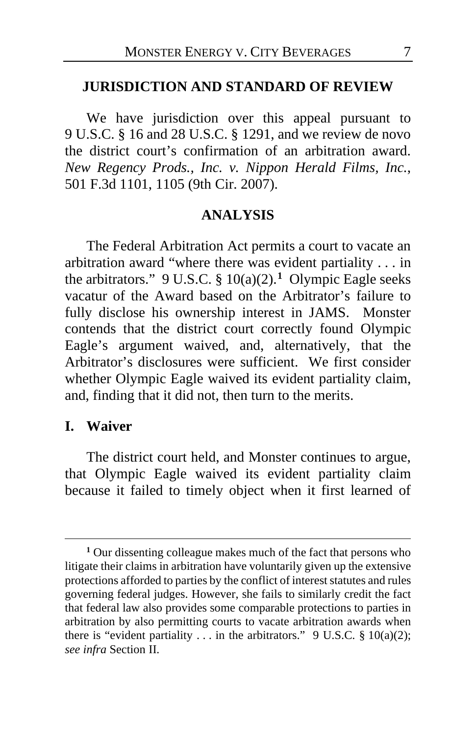#### **JURISDICTION AND STANDARD OF REVIEW**

We have jurisdiction over this appeal pursuant to 9 U.S.C. § 16 and 28 U.S.C. § 1291, and we review de novo the district court's confirmation of an arbitration award. *New Regency Prods., Inc. v. Nippon Herald Films, Inc.*, 501 F.3d 1101, 1105 (9th Cir. 2007).

#### **ANALYSIS**

The Federal Arbitration Act permits a court to vacate an arbitration award "where there was evident partiality . . . in the arbitrators." 9 U.S.C. § 10(a)(2).**[1](#page-6-0)** Olympic Eagle seeks vacatur of the Award based on the Arbitrator's failure to fully disclose his ownership interest in JAMS. Monster contends that the district court correctly found Olympic Eagle's argument waived, and, alternatively, that the Arbitrator's disclosures were sufficient. We first consider whether Olympic Eagle waived its evident partiality claim, and, finding that it did not, then turn to the merits.

#### **I. Waiver**

The district court held, and Monster continues to argue, that Olympic Eagle waived its evident partiality claim because it failed to timely object when it first learned of

<span id="page-6-0"></span>**<sup>1</sup>** Our dissenting colleague makes much of the fact that persons who litigate their claims in arbitration have voluntarily given up the extensive protections afforded to parties by the conflict of interest statutes and rules governing federal judges. However, she fails to similarly credit the fact that federal law also provides some comparable protections to parties in arbitration by also permitting courts to vacate arbitration awards when there is "evident partiality ... in the arbitrators." 9 U.S.C.  $\S 10(a)(2)$ ; *see infra* Section II*.*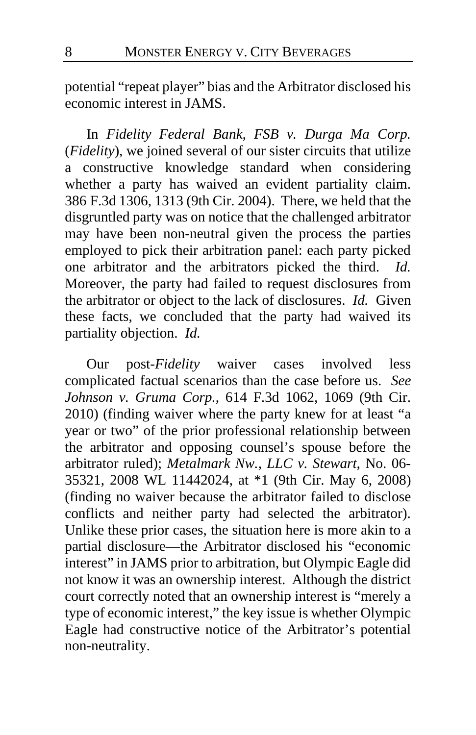potential "repeat player" bias and the Arbitrator disclosed his economic interest in JAMS.

In *Fidelity Federal Bank, FSB v. Durga Ma Corp.*  (*Fidelity*), we joined several of our sister circuits that utilize a constructive knowledge standard when considering whether a party has waived an evident partiality claim. 386 F.3d 1306, 1313 (9th Cir. 2004). There, we held that the disgruntled party was on notice that the challenged arbitrator may have been non-neutral given the process the parties employed to pick their arbitration panel: each party picked one arbitrator and the arbitrators picked the third. *Id.* Moreover, the party had failed to request disclosures from the arbitrator or object to the lack of disclosures. *Id.* Given these facts, we concluded that the party had waived its partiality objection. *Id.*

Our post-*Fidelity* waiver cases involved less complicated factual scenarios than the case before us. *See Johnson v. Gruma Corp.*, 614 F.3d 1062, 1069 (9th Cir. 2010) (finding waiver where the party knew for at least "a year or two" of the prior professional relationship between the arbitrator and opposing counsel's spouse before the arbitrator ruled); *Metalmark Nw., LLC v. Stewart*, No. 06- 35321, 2008 WL 11442024, at \*1 (9th Cir. May 6, 2008) (finding no waiver because the arbitrator failed to disclose conflicts and neither party had selected the arbitrator). Unlike these prior cases, the situation here is more akin to a partial disclosure—the Arbitrator disclosed his "economic interest" in JAMS prior to arbitration, but Olympic Eagle did not know it was an ownership interest. Although the district court correctly noted that an ownership interest is "merely a type of economic interest," the key issue is whether Olympic Eagle had constructive notice of the Arbitrator's potential non-neutrality.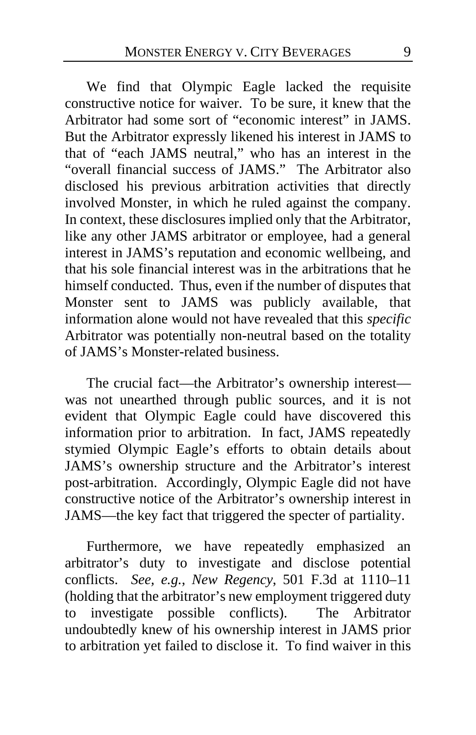We find that Olympic Eagle lacked the requisite constructive notice for waiver. To be sure, it knew that the Arbitrator had some sort of "economic interest" in JAMS. But the Arbitrator expressly likened his interest in JAMS to that of "each JAMS neutral," who has an interest in the "overall financial success of JAMS." The Arbitrator also disclosed his previous arbitration activities that directly involved Monster, in which he ruled against the company. In context, these disclosures implied only that the Arbitrator, like any other JAMS arbitrator or employee, had a general interest in JAMS's reputation and economic wellbeing, and that his sole financial interest was in the arbitrations that he himself conducted. Thus, even if the number of disputes that Monster sent to JAMS was publicly available, that information alone would not have revealed that this *specific* Arbitrator was potentially non-neutral based on the totality of JAMS's Monster-related business.

The crucial fact—the Arbitrator's ownership interest was not unearthed through public sources, and it is not evident that Olympic Eagle could have discovered this information prior to arbitration. In fact, JAMS repeatedly stymied Olympic Eagle's efforts to obtain details about JAMS's ownership structure and the Arbitrator's interest post-arbitration. Accordingly, Olympic Eagle did not have constructive notice of the Arbitrator's ownership interest in JAMS—the key fact that triggered the specter of partiality.

Furthermore, we have repeatedly emphasized an arbitrator's duty to investigate and disclose potential conflicts. *See, e.g.*, *New Regency*, 501 F.3d at 1110–11 (holding that the arbitrator's new employment triggered duty to investigate possible conflicts). The Arbitrator undoubtedly knew of his ownership interest in JAMS prior to arbitration yet failed to disclose it. To find waiver in this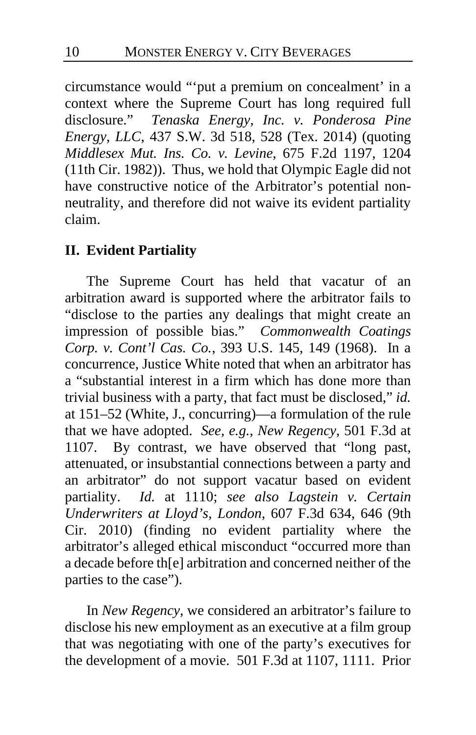circumstance would "'put a premium on concealment' in a context where the Supreme Court has long required full disclosure." *Tenaska Energy, Inc. v. Ponderosa Pine Energy, LLC*, 437 S.W. 3d 518, 528 (Tex. 2014) (quoting *Middlesex Mut. Ins. Co. v. Levine*, 675 F.2d 1197, 1204 (11th Cir. 1982)). Thus, we hold that Olympic Eagle did not have constructive notice of the Arbitrator's potential nonneutrality, and therefore did not waive its evident partiality claim.

## **II. Evident Partiality**

The Supreme Court has held that vacatur of an arbitration award is supported where the arbitrator fails to "disclose to the parties any dealings that might create an impression of possible bias." *Commonwealth Coatings Corp. v. Cont'l Cas. Co.*, 393 U.S. 145, 149 (1968). In a concurrence, Justice White noted that when an arbitrator has a "substantial interest in a firm which has done more than trivial business with a party, that fact must be disclosed," *id.* at 151–52 (White, J., concurring)—a formulation of the rule that we have adopted. *See, e.g.*, *New Regency*, 501 F.3d at 1107. By contrast, we have observed that "long past, attenuated, or insubstantial connections between a party and an arbitrator" do not support vacatur based on evident partiality. *Id.* at 1110; *see also Lagstein v. Certain Underwriters at Lloyd's, London*, 607 F.3d 634, 646 (9th Cir. 2010) (finding no evident partiality where the arbitrator's alleged ethical misconduct "occurred more than a decade before th[e] arbitration and concerned neither of the parties to the case").

In *New Regency*, we considered an arbitrator's failure to disclose his new employment as an executive at a film group that was negotiating with one of the party's executives for the development of a movie. 501 F.3d at 1107, 1111. Prior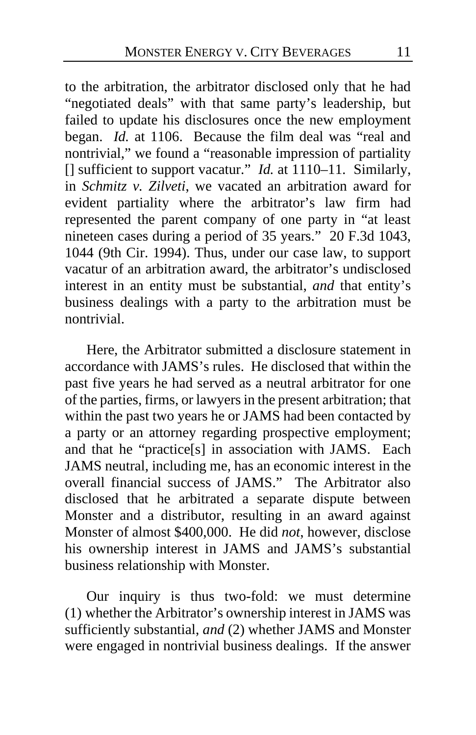to the arbitration, the arbitrator disclosed only that he had "negotiated deals" with that same party's leadership, but failed to update his disclosures once the new employment began. *Id.* at 1106. Because the film deal was "real and nontrivial," we found a "reasonable impression of partiality [] sufficient to support vacatur." *Id.* at 1110–11. Similarly, in *Schmitz v. Zilveti*, we vacated an arbitration award for evident partiality where the arbitrator's law firm had represented the parent company of one party in "at least nineteen cases during a period of 35 years." 20 F.3d 1043, 1044 (9th Cir. 1994). Thus, under our case law, to support vacatur of an arbitration award, the arbitrator's undisclosed interest in an entity must be substantial, *and* that entity's business dealings with a party to the arbitration must be nontrivial.

Here, the Arbitrator submitted a disclosure statement in accordance with JAMS's rules. He disclosed that within the past five years he had served as a neutral arbitrator for one of the parties, firms, or lawyers in the present arbitration; that within the past two years he or JAMS had been contacted by a party or an attorney regarding prospective employment; and that he "practice[s] in association with JAMS. Each JAMS neutral, including me, has an economic interest in the overall financial success of JAMS." The Arbitrator also disclosed that he arbitrated a separate dispute between Monster and a distributor, resulting in an award against Monster of almost \$400,000. He did *not*, however, disclose his ownership interest in JAMS and JAMS's substantial business relationship with Monster.

<span id="page-10-0"></span>Our inquiry is thus two-fold: we must determine (1) whether the Arbitrator's ownership interest in JAMS was sufficiently substantial, *and* (2) whether JAMS and Monster were engaged in nontrivial business dealings. If the answer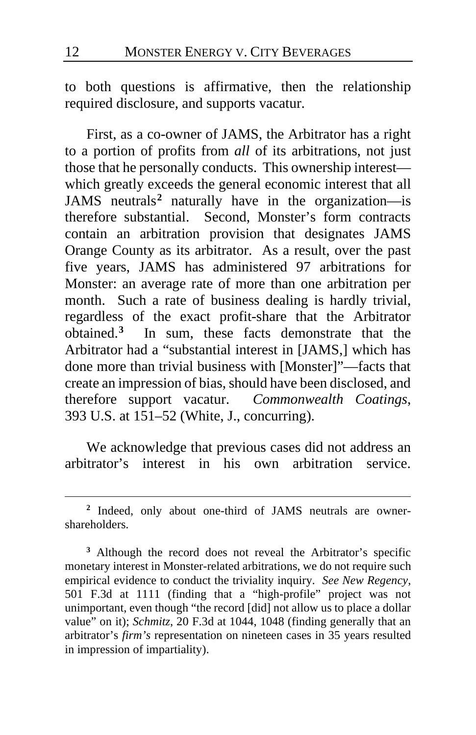to both questions is affirmative, then the relationship required disclosure, and supports vacatur.

<span id="page-11-2"></span>First, as a co-owner of JAMS, the Arbitrator has a right to a portion of profits from *all* of its arbitrations, not just those that he personally conducts. This ownership interest which greatly exceeds the general economic interest that all JAMS neutrals**[2](#page-11-0)** naturally have in the organization—is therefore substantial. Second, Monster's form contracts contain an arbitration provision that designates JAMS Orange County as its arbitrator. As a result, over the past five years, JAMS has administered 97 arbitrations for Monster: an average rate of more than one arbitration per month. Such a rate of business dealing is hardly trivial, regardless of the exact profit-share that the Arbitrator obtained.**[3](#page-11-1)** In sum, these facts demonstrate that the Arbitrator had a "substantial interest in [JAMS,] which has done more than trivial business with [Monster]"—facts that create an impression of bias, should have been disclosed, and therefore support vacatur. *Commonwealth Coatings*, 393 U.S. at 151–52 (White, J., concurring).

We acknowledge that previous cases did not address an arbitrator's interest in his own arbitration service.

<span id="page-11-0"></span>**<sup>2</sup>** Indeed, only about one-third of JAMS neutrals are ownershareholders.

<span id="page-11-1"></span>**<sup>3</sup>** Although the record does not reveal the Arbitrator's specific monetary interest in Monster-related arbitrations, we do not require such empirical evidence to conduct the triviality inquiry. *See New Regency*, 501 F.3d at 1111 (finding that a "high-profile" project was not unimportant, even though "the record [did] not allow us to place a dollar value" on it); *Schmitz*, 20 F.3d at 1044, 1048 (finding generally that an arbitrator's *firm's* representation on nineteen cases in 35 years resulted in impression of impartiality).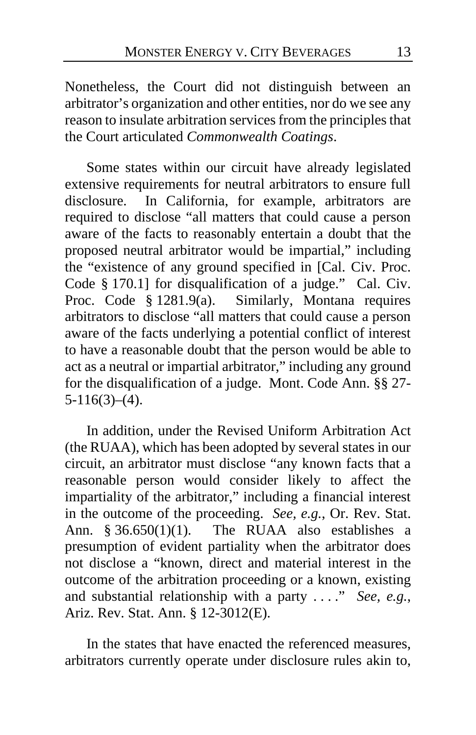Nonetheless, the Court did not distinguish between an arbitrator's organization and other entities, nor do we see any reason to insulate arbitration services from the principles that the Court articulated *Commonwealth Coatings*.

Some states within our circuit have already legislated extensive requirements for neutral arbitrators to ensure full disclosure. In California, for example, arbitrators are required to disclose "all matters that could cause a person aware of the facts to reasonably entertain a doubt that the proposed neutral arbitrator would be impartial," including the "existence of any ground specified in [Cal. Civ. Proc. Code § 170.1] for disqualification of a judge." Cal. Civ. Proc. Code § 1281.9(a). Similarly, Montana requires arbitrators to disclose "all matters that could cause a person aware of the facts underlying a potential conflict of interest to have a reasonable doubt that the person would be able to act as a neutral or impartial arbitrator," including any ground for the disqualification of a judge. Mont. Code Ann. §§ 27-  $5-116(3)–(4)$ .

In addition, under the Revised Uniform Arbitration Act (the RUAA), which has been adopted by several states in our circuit, an arbitrator must disclose "any known facts that a reasonable person would consider likely to affect the impartiality of the arbitrator," including a financial interest in the outcome of the proceeding. *See, e.g.*, Or. Rev. Stat. Ann.  $$36.650(1)(1)$ . The RUAA also establishes a presumption of evident partiality when the arbitrator does not disclose a "known, direct and material interest in the outcome of the arbitration proceeding or a known, existing and substantial relationship with a party . . . ." *See, e.g.*, Ariz. Rev. Stat. Ann. § 12-3012(E).

In the states that have enacted the referenced measures, arbitrators currently operate under disclosure rules akin to,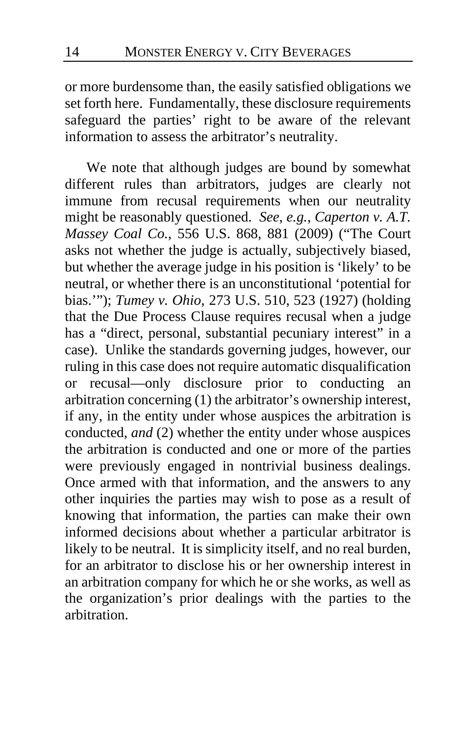or more burdensome than, the easily satisfied obligations we set forth here. Fundamentally, these disclosure requirements safeguard the parties' right to be aware of the relevant information to assess the arbitrator's neutrality.

<span id="page-13-0"></span>We note that although judges are bound by somewhat different rules than arbitrators, judges are clearly not immune from recusal requirements when our neutrality might be reasonably questioned. *See, e.g.*, *Caperton v. A.T. Massey Coal Co.*, 556 U.S. 868, 881 (2009) ("The Court asks not whether the judge is actually, subjectively biased, but whether the average judge in his position is 'likely' to be neutral, or whether there is an unconstitutional 'potential for bias.'"); *Tumey v. Ohio*, 273 U.S. 510, 523 (1927) (holding that the Due Process Clause requires recusal when a judge has a "direct, personal, substantial pecuniary interest" in a case). Unlike the standards governing judges, however, our ruling in this case does not require automatic disqualification or recusal—only disclosure prior to conducting an arbitration concerning (1) the arbitrator's ownership interest, if any, in the entity under whose auspices the arbitration is conducted, *and* (2) whether the entity under whose auspices the arbitration is conducted and one or more of the parties were previously engaged in nontrivial business dealings. Once armed with that information, and the answers to any other inquiries the parties may wish to pose as a result of knowing that information, the parties can make their own informed decisions about whether a particular arbitrator is likely to be neutral. It is simplicity itself, and no real burden, for an arbitrator to disclose his or her ownership interest in an arbitration company for which he or she works, as well as the organization's prior dealings with the parties to the arbitration.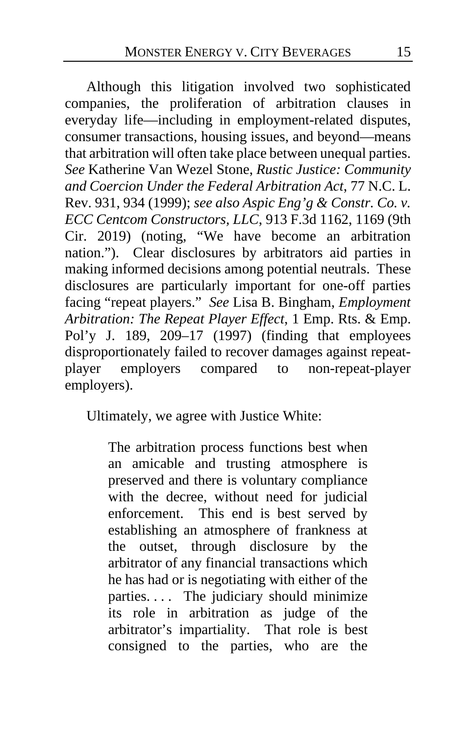Although this litigation involved two sophisticated companies, the proliferation of arbitration clauses in everyday life—including in employment-related disputes, consumer transactions, housing issues, and beyond—means that arbitration will often take place between unequal parties. *See* Katherine Van Wezel Stone, *Rustic Justice: Community and Coercion Under the Federal Arbitration Act*, 77 N.C. L. Rev. 931, 934 (1999); *see also Aspic Eng'g & Constr. Co. v. ECC Centcom Constructors, LLC*, 913 F.3d 1162, 1169 (9th Cir. 2019) (noting, "We have become an arbitration nation."). Clear disclosures by arbitrators aid parties in making informed decisions among potential neutrals. These disclosures are particularly important for one-off parties facing "repeat players." *See* Lisa B. Bingham, *Employment Arbitration: The Repeat Player Effect*, 1 Emp. Rts. & Emp. Pol'y J. 189, 209–17 (1997) (finding that employees disproportionately failed to recover damages against repeat-<br>player employers compared to non-repeat-player employers compared to non-repeat-player employers).

Ultimately, we agree with Justice White:

The arbitration process functions best when an amicable and trusting atmosphere is preserved and there is voluntary compliance with the decree, without need for judicial enforcement. This end is best served by establishing an atmosphere of frankness at the outset, through disclosure by the arbitrator of any financial transactions which he has had or is negotiating with either of the parties.... The judiciary should minimize its role in arbitration as judge of the arbitrator's impartiality. That role is best consigned to the parties, who are the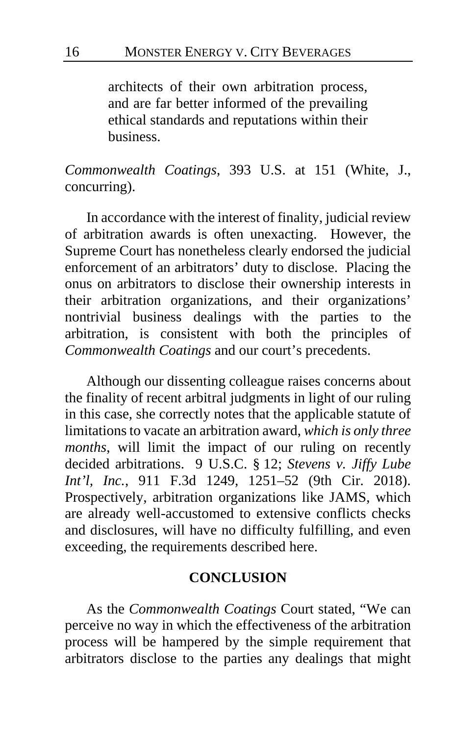architects of their own arbitration process, and are far better informed of the prevailing ethical standards and reputations within their business.

*Commonwealth Coatings*, 393 U.S. at 151 (White, J., concurring).

In accordance with the interest of finality, judicial review of arbitration awards is often unexacting. However, the Supreme Court has nonetheless clearly endorsed the judicial enforcement of an arbitrators' duty to disclose. Placing the onus on arbitrators to disclose their ownership interests in their arbitration organizations, and their organizations' nontrivial business dealings with the parties to the arbitration, is consistent with both the principles of *Commonwealth Coatings* and our court's precedents.

Although our dissenting colleague raises concerns about the finality of recent arbitral judgments in light of our ruling in this case, she correctly notes that the applicable statute of limitations to vacate an arbitration award, *which is only three months*, will limit the impact of our ruling on recently decided arbitrations. 9 U.S.C. § 12; *Stevens v. Jiffy Lube Int'l, Inc.*, 911 F.3d 1249, 1251–52 (9th Cir. 2018). Prospectively, arbitration organizations like JAMS, which are already well-accustomed to extensive conflicts checks and disclosures, will have no difficulty fulfilling, and even exceeding, the requirements described here.

#### **CONCLUSION**

As the *Commonwealth Coatings* Court stated, "We can perceive no way in which the effectiveness of the arbitration process will be hampered by the simple requirement that arbitrators disclose to the parties any dealings that might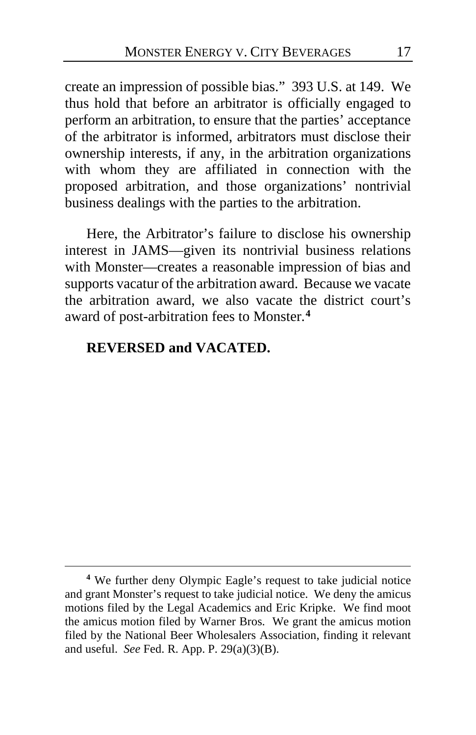<span id="page-16-2"></span>create an impression of possible bias." 393 U.S. at 149. We thus hold that before an arbitrator is officially engaged to perform an arbitration, to ensure that the parties' acceptance of the arbitrator is informed, arbitrators must disclose their ownership interests, if any, in the arbitration organizations with whom they are affiliated in connection with the proposed arbitration, and those organizations' nontrivial business dealings with the parties to the arbitration.

<span id="page-16-1"></span>Here, the Arbitrator's failure to disclose his ownership interest in JAMS—given its nontrivial business relations with Monster—creates a reasonable impression of bias and supports vacatur of the arbitration award. Because we vacate the arbitration award, we also vacate the district court's award of post-arbitration fees to Monster.**[4](#page-16-0)**

#### **REVERSED and VACATED.**

<span id="page-16-0"></span>**<sup>4</sup>** We further deny Olympic Eagle's request to take judicial notice and grant Monster's request to take judicial notice. We deny the amicus motions filed by the Legal Academics and Eric Kripke. We find moot the amicus motion filed by Warner Bros. We grant the amicus motion filed by the National Beer Wholesalers Association, finding it relevant and useful. *See* Fed. R. App. P. 29(a)(3)(B).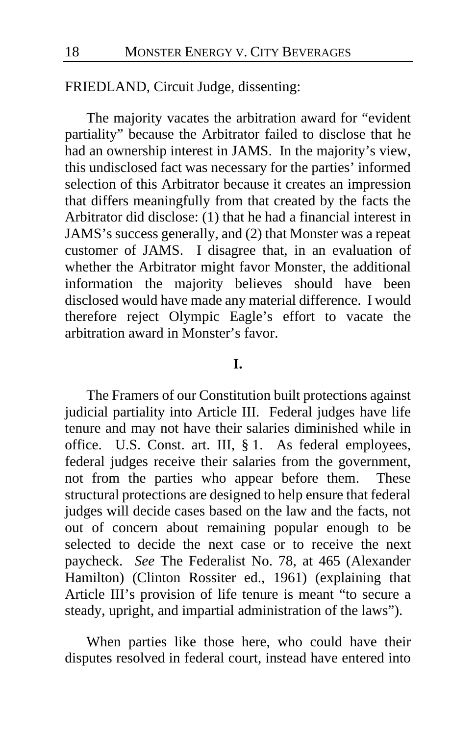#### FRIEDLAND, Circuit Judge, dissenting:

The majority vacates the arbitration award for "evident partiality" because the Arbitrator failed to disclose that he had an ownership interest in JAMS. In the majority's view, this undisclosed fact was necessary for the parties' informed selection of this Arbitrator because it creates an impression that differs meaningfully from that created by the facts the Arbitrator did disclose: (1) that he had a financial interest in JAMS's success generally, and (2) that Monster was a repeat customer of JAMS. I disagree that, in an evaluation of whether the Arbitrator might favor Monster, the additional information the majority believes should have been disclosed would have made any material difference. I would therefore reject Olympic Eagle's effort to vacate the arbitration award in Monster's favor.

#### **I.**

The Framers of our Constitution built protections against judicial partiality into Article III. Federal judges have life tenure and may not have their salaries diminished while in office. U.S. Const. art. III, § 1. As federal employees, federal judges receive their salaries from the government, not from the parties who appear before them. These structural protections are designed to help ensure that federal judges will decide cases based on the law and the facts, not out of concern about remaining popular enough to be selected to decide the next case or to receive the next paycheck. *See* The Federalist No. 78, at 465 (Alexander Hamilton) (Clinton Rossiter ed., 1961) (explaining that Article III's provision of life tenure is meant "to secure a steady, upright, and impartial administration of the laws").

When parties like those here, who could have their disputes resolved in federal court, instead have entered into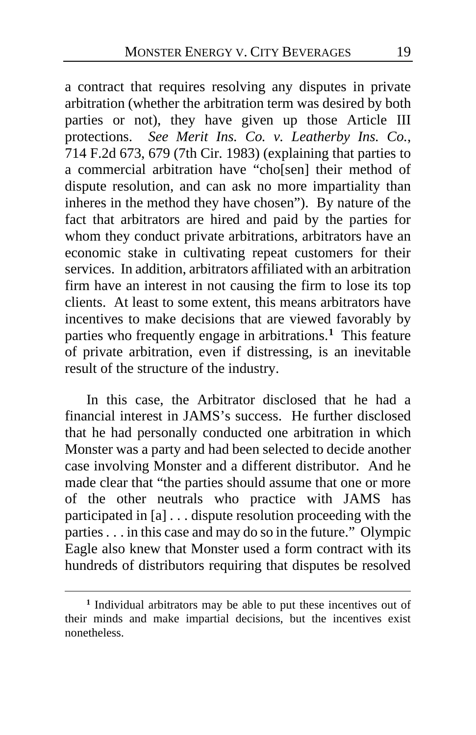a contract that requires resolving any disputes in private arbitration (whether the arbitration term was desired by both parties or not), they have given up those Article III protections. *See Merit Ins. Co. v. Leatherby Ins. Co.*, 714 F.2d 673, 679 (7th Cir. 1983) (explaining that parties to a commercial arbitration have "cho[sen] their method of dispute resolution, and can ask no more impartiality than inheres in the method they have chosen"). By nature of the fact that arbitrators are hired and paid by the parties for whom they conduct private arbitrations, arbitrators have an economic stake in cultivating repeat customers for their services. In addition, arbitrators affiliated with an arbitration firm have an interest in not causing the firm to lose its top clients. At least to some extent, this means arbitrators have incentives to make decisions that are viewed favorably by parties who frequently engage in arbitrations.**[1](#page-18-0)** This feature of private arbitration, even if distressing, is an inevitable result of the structure of the industry.

In this case, the Arbitrator disclosed that he had a financial interest in JAMS's success. He further disclosed that he had personally conducted one arbitration in which Monster was a party and had been selected to decide another case involving Monster and a different distributor. And he made clear that "the parties should assume that one or more of the other neutrals who practice with JAMS has participated in [a] . . . dispute resolution proceeding with the parties . . . in this case and may do so in the future." Olympic Eagle also knew that Monster used a form contract with its hundreds of distributors requiring that disputes be resolved

<span id="page-18-0"></span>**<sup>1</sup>** Individual arbitrators may be able to put these incentives out of their minds and make impartial decisions, but the incentives exist nonetheless.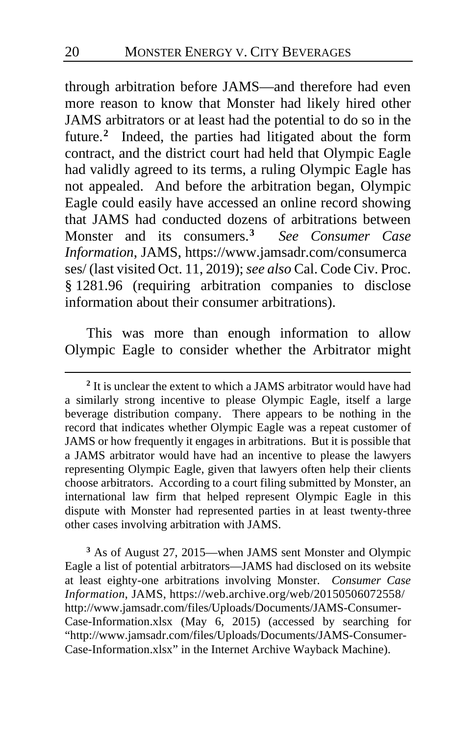through arbitration before JAMS—and therefore had even more reason to know that Monster had likely hired other JAMS arbitrators or at least had the potential to do so in the future.**[2](#page-19-0)** Indeed, the parties had litigated about the form contract, and the district court had held that Olympic Eagle had validly agreed to its terms, a ruling Olympic Eagle has not appealed. And before the arbitration began, Olympic Eagle could easily have accessed an online record showing that JAMS had conducted dozens of arbitrations between Monster and its consumers.**[3](#page-19-1)** *See Consumer Case Information*, JAMS, https://www.jamsadr.com/consumerca ses/ (last visited Oct. 11, 2019); *see also* Cal. Code Civ. Proc. § 1281.96 (requiring arbitration companies to disclose information about their consumer arbitrations).

This was more than enough information to allow Olympic Eagle to consider whether the Arbitrator might

<span id="page-19-1"></span>**<sup>3</sup>** As of August 27, 2015—when JAMS sent Monster and Olympic Eagle a list of potential arbitrators—JAMS had disclosed on its website at least eighty-one arbitrations involving Monster. *Consumer Case Information*, JAMS, https://web.archive.org/web/20150506072558/ http://www.jamsadr.com/files/Uploads/Documents/JAMS-Consumer-Case-Information.xlsx (May 6, 2015) (accessed by searching for "http://www.jamsadr.com/files/Uploads/Documents/JAMS-Consumer-Case-Information.xlsx" in the Internet Archive Wayback Machine).

<span id="page-19-0"></span>**<sup>2</sup>** It is unclear the extent to which a JAMS arbitrator would have had a similarly strong incentive to please Olympic Eagle, itself a large beverage distribution company. There appears to be nothing in the record that indicates whether Olympic Eagle was a repeat customer of JAMS or how frequently it engages in arbitrations. But it is possible that a JAMS arbitrator would have had an incentive to please the lawyers representing Olympic Eagle, given that lawyers often help their clients choose arbitrators. According to a court filing submitted by Monster, an international law firm that helped represent Olympic Eagle in this dispute with Monster had represented parties in at least twenty-three other cases involving arbitration with JAMS.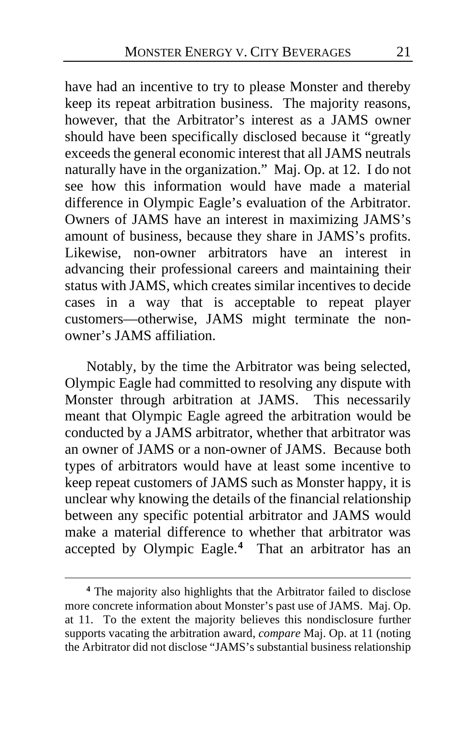have had an incentive to try to please Monster and thereby keep its repeat arbitration business. The majority reasons, however, that the Arbitrator's interest as a JAMS owner should have been specifically disclosed because it "greatly exceeds the general economic interest that all JAMS neutrals naturally have in the organization." Maj. Op. at [12.](#page-11-2) I do not see how this information would have made a material difference in Olympic Eagle's evaluation of the Arbitrator. Owners of JAMS have an interest in maximizing JAMS's amount of business, because they share in JAMS's profits. Likewise, non-owner arbitrators have an interest in advancing their professional careers and maintaining their status with JAMS, which creates similar incentives to decide cases in a way that is acceptable to repeat player customers—otherwise, JAMS might terminate the nonowner's JAMS affiliation.

Notably, by the time the Arbitrator was being selected, Olympic Eagle had committed to resolving any dispute with Monster through arbitration at JAMS. This necessarily meant that Olympic Eagle agreed the arbitration would be conducted by a JAMS arbitrator, whether that arbitrator was an owner of JAMS or a non-owner of JAMS. Because both types of arbitrators would have at least some incentive to keep repeat customers of JAMS such as Monster happy, it is unclear why knowing the details of the financial relationship between any specific potential arbitrator and JAMS would make a material difference to whether that arbitrator was accepted by Olympic Eagle.**[4](#page-20-0)** That an arbitrator has an

<span id="page-20-0"></span>**<sup>4</sup>** The majority also highlights that the Arbitrator failed to disclose more concrete information about Monster's past use of JAMS. Maj. Op. at 11. To the extent the majority believes this nondisclosure further supports vacating the arbitration award, *compare* Maj. Op. at 11 (noting the Arbitrator did not disclose "JAMS's substantial business relationship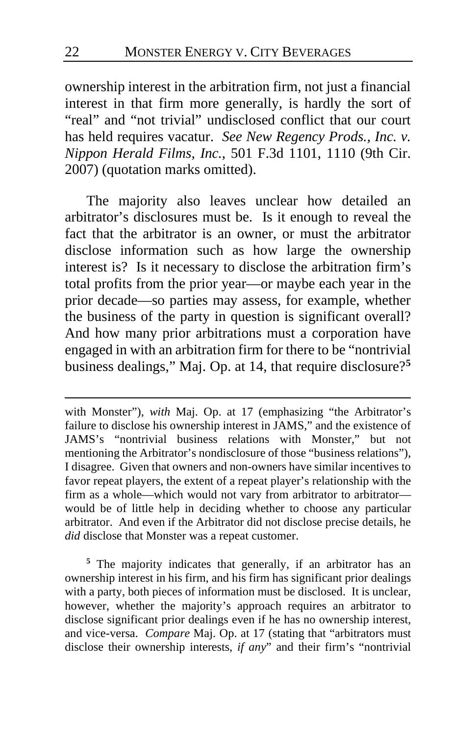ownership interest in the arbitration firm, not just a financial interest in that firm more generally, is hardly the sort of "real" and "not trivial" undisclosed conflict that our court has held requires vacatur. *See New Regency Prods., Inc. v. Nippon Herald Films, Inc.*, 501 F.3d 1101, 1110 (9th Cir. 2007) (quotation marks omitted).

The majority also leaves unclear how detailed an arbitrator's disclosures must be. Is it enough to reveal the fact that the arbitrator is an owner, or must the arbitrator disclose information such as how large the ownership interest is? Is it necessary to disclose the arbitration firm's total profits from the prior year—or maybe each year in the prior decade—so parties may assess, for example, whether the business of the party in question is significant overall? And how many prior arbitrations must a corporation have engaged in with an arbitration firm for there to be "nontrivial business dealings," Maj. Op. at [14,](#page-13-0) that require disclosure?**[5](#page-21-0)**

with Monster"), *with* Maj. Op. at [17](#page-16-1) (emphasizing "the Arbitrator's failure to disclose his ownership interest in JAMS," and the existence of JAMS's "nontrivial business relations with Monster," but not mentioning the Arbitrator's nondisclosure of those "business relations"), I disagree. Given that owners and non-owners have similar incentives to favor repeat players, the extent of a repeat player's relationship with the firm as a whole—which would not vary from arbitrator to arbitrator would be of little help in deciding whether to choose any particular arbitrator. And even if the Arbitrator did not disclose precise details, he *did* disclose that Monster was a repeat customer.

<span id="page-21-0"></span>**<sup>5</sup>** The majority indicates that generally, if an arbitrator has an ownership interest in his firm, and his firm has significant prior dealings with a party, both pieces of information must be disclosed. It is unclear, however, whether the majority's approach requires an arbitrator to disclose significant prior dealings even if he has no ownership interest, and vice-versa. *Compare* Maj. Op. at [17](#page-16-2) (stating that "arbitrators must disclose their ownership interests, *if any*" and their firm's "nontrivial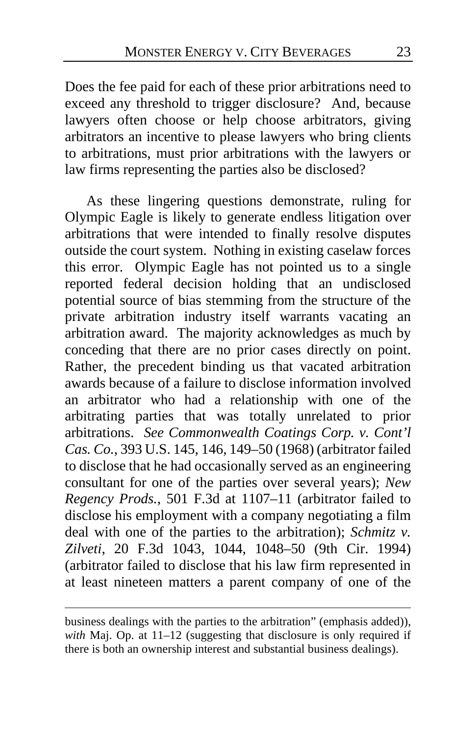Does the fee paid for each of these prior arbitrations need to exceed any threshold to trigger disclosure? And, because lawyers often choose or help choose arbitrators, giving arbitrators an incentive to please lawyers who bring clients to arbitrations, must prior arbitrations with the lawyers or law firms representing the parties also be disclosed?

As these lingering questions demonstrate, ruling for Olympic Eagle is likely to generate endless litigation over arbitrations that were intended to finally resolve disputes outside the court system. Nothing in existing caselaw forces this error. Olympic Eagle has not pointed us to a single reported federal decision holding that an undisclosed potential source of bias stemming from the structure of the private arbitration industry itself warrants vacating an arbitration award.The majority acknowledges as much by conceding that there are no prior cases directly on point. Rather, the precedent binding us that vacated arbitration awards because of a failure to disclose information involved an arbitrator who had a relationship with one of the arbitrating parties that was totally unrelated to prior arbitrations. *See Commonwealth Coatings Corp. v. Cont'l Cas. Co.*, 393 U.S. 145, 146, 149–50 (1968) (arbitrator failed to disclose that he had occasionally served as an engineering consultant for one of the parties over several years); *New Regency Prods.*, 501 F.3d at 1107–11 (arbitrator failed to disclose his employment with a company negotiating a film deal with one of the parties to the arbitration); *Schmitz v. Zilveti*, 20 F.3d 1043, 1044, 1048–50 (9th Cir. 1994) (arbitrator failed to disclose that his law firm represented in at least nineteen matters a parent company of one of the

business dealings with the parties to the arbitration" (emphasis added)), *with* Maj. Op. at [11–](#page-10-0)12 (suggesting that disclosure is only required if there is both an ownership interest and substantial business dealings).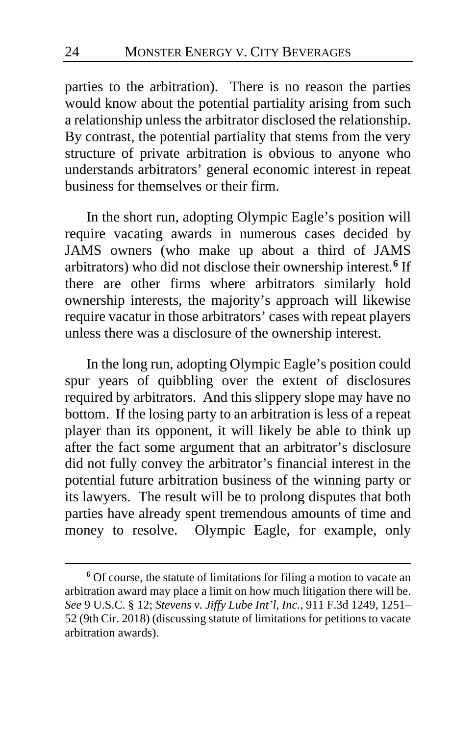parties to the arbitration). There is no reason the parties would know about the potential partiality arising from such a relationship unless the arbitrator disclosed the relationship. By contrast, the potential partiality that stems from the very structure of private arbitration is obvious to anyone who understands arbitrators' general economic interest in repeat business for themselves or their firm.

In the short run, adopting Olympic Eagle's position will require vacating awards in numerous cases decided by JAMS owners (who make up about a third of JAMS arbitrators) who did not disclose their ownership interest.**[6](#page-23-0)** If there are other firms where arbitrators similarly hold ownership interests, the majority's approach will likewise require vacatur in those arbitrators' cases with repeat players unless there was a disclosure of the ownership interest.

In the long run, adopting Olympic Eagle's position could spur years of quibbling over the extent of disclosures required by arbitrators. And this slippery slope may have no bottom. If the losing party to an arbitration is less of a repeat player than its opponent, it will likely be able to think up after the fact some argument that an arbitrator's disclosure did not fully convey the arbitrator's financial interest in the potential future arbitration business of the winning party or its lawyers. The result will be to prolong disputes that both parties have already spent tremendous amounts of time and money to resolve. Olympic Eagle, for example, only

<span id="page-23-0"></span>**<sup>6</sup>** Of course, the statute of limitations for filing a motion to vacate an arbitration award may place a limit on how much litigation there will be. *See* 9 U.S.C. § 12; *Stevens v. Jiffy Lube Int'l, Inc.*, 911 F.3d 1249, 1251– 52 (9th Cir. 2018) (discussing statute of limitationsfor petitions to vacate arbitration awards).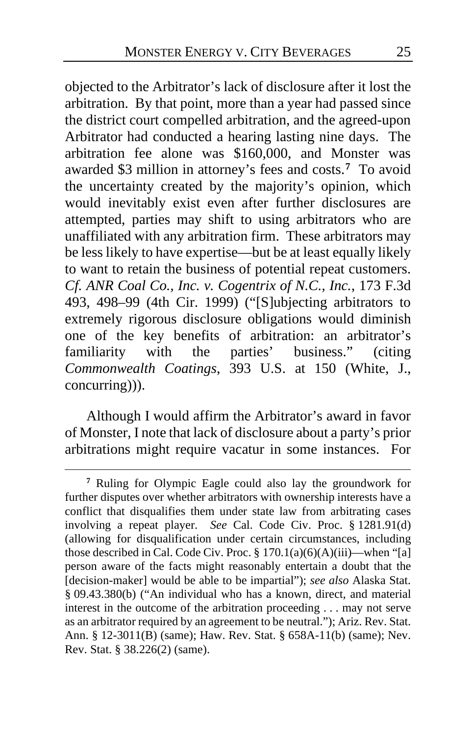objected to the Arbitrator's lack of disclosure after it lost the arbitration. By that point, more than a year had passed since the district court compelled arbitration, and the agreed-upon Arbitrator had conducted a hearing lasting nine days. The arbitration fee alone was \$160,000, and Monster was awarded \$3 million in attorney's fees and costs.**[7](#page-24-0)** To avoid the uncertainty created by the majority's opinion, which would inevitably exist even after further disclosures are attempted, parties may shift to using arbitrators who are unaffiliated with any arbitration firm. These arbitrators may be less likely to have expertise—but be at least equally likely to want to retain the business of potential repeat customers. *Cf. ANR Coal Co., Inc. v. Cogentrix of N.C., Inc.*, 173 F.3d 493, 498–99 (4th Cir. 1999) ("[S]ubjecting arbitrators to extremely rigorous disclosure obligations would diminish one of the key benefits of arbitration: an arbitrator's familiarity with the parties' business." (citing *Commonwealth Coatings*, 393 U.S. at 150 (White, J., concurring))).

Although I would affirm the Arbitrator's award in favor of Monster, I note that lack of disclosure about a party's prior arbitrations might require vacatur in some instances. For

<span id="page-24-0"></span>**<sup>7</sup>** Ruling for Olympic Eagle could also lay the groundwork for further disputes over whether arbitrators with ownership interests have a conflict that disqualifies them under state law from arbitrating cases involving a repeat player. *See* Cal. Code Civ. Proc. § 1281.91(d) (allowing for disqualification under certain circumstances, including those described in Cal. Code Civ. Proc.  $\S 170.1(a)(6)(A)(iii)$ —when "[a] person aware of the facts might reasonably entertain a doubt that the [decision-maker] would be able to be impartial"); *see also* Alaska Stat. § 09.43.380(b) ("An individual who has a known, direct, and material interest in the outcome of the arbitration proceeding . . . may not serve as an arbitrator required by an agreement to be neutral."); Ariz. Rev. Stat. Ann. § 12-3011(B) (same); Haw. Rev. Stat. § 658A-11(b) (same); Nev. Rev. Stat. § 38.226(2) (same).